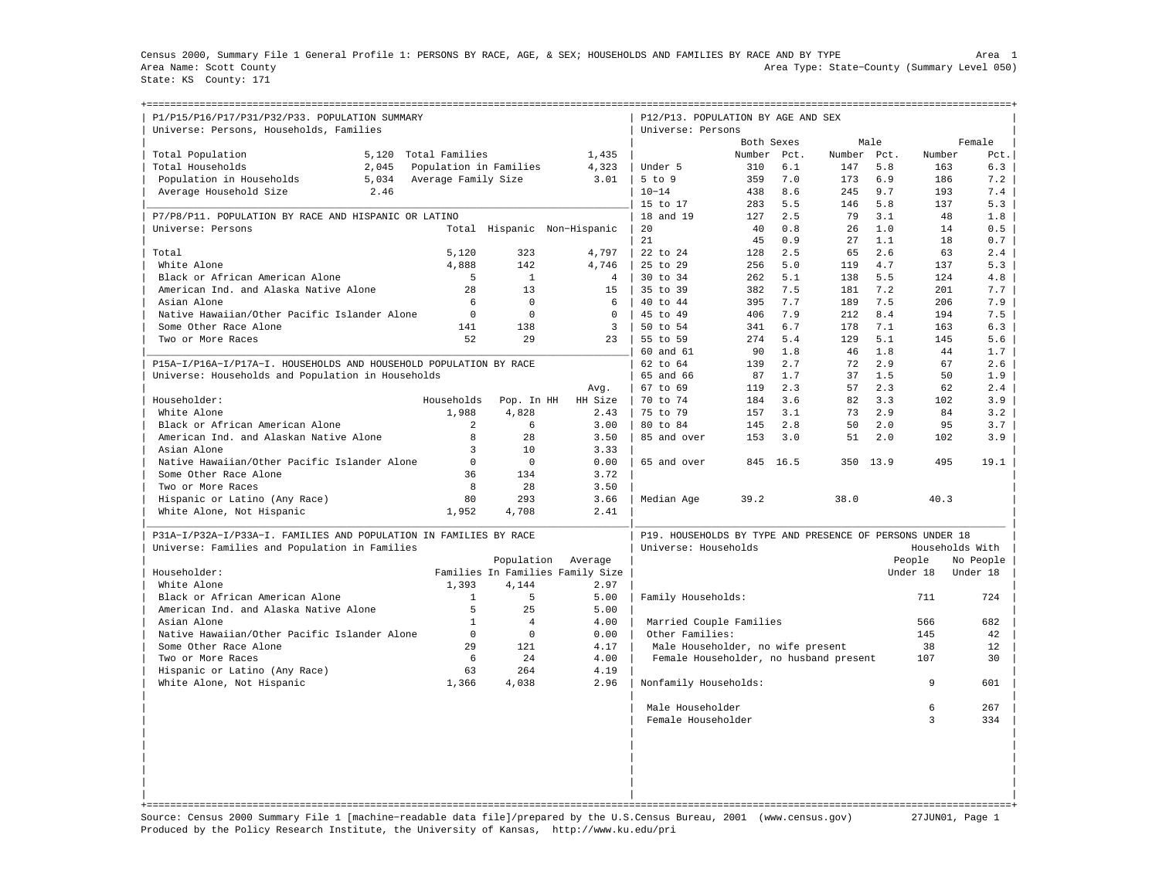Census 2000, Summary File 1 General Profile 1: PERSONS BY RACE, AGE, & SEX; HOUSEHOLDS AND FAMILIES BY RACE AND BY TYPE Area 1 Area Name: Scott County Area Type: State−County (Summary Level 050) State: KS County: 171

+===================================================================================================================================================+

| P1/P15/P16/P17/P31/P32/P33. POPULATION SUMMARY<br>Universe: Persons, Households, Families |                     |                        |                                  | P12/P13. POPULATION BY AGE AND SEX<br>Universe: Persons  |            |            |            |            |            |                 |
|-------------------------------------------------------------------------------------------|---------------------|------------------------|----------------------------------|----------------------------------------------------------|------------|------------|------------|------------|------------|-----------------|
|                                                                                           |                     |                        |                                  |                                                          | Both Sexes |            |            | Male       |            | Female          |
| Total Population<br>5,120                                                                 | Total Families      |                        | 1,435                            |                                                          | Number     | Pct.       | Number     | Pct.       | Number     | Pct.            |
| 2,045<br>Total Households                                                                 |                     | Population in Families | 4,323                            | Under 5                                                  | 310        | 6.1        | 147        | 5.8        | 163        | 6.3             |
| Population in Households<br>5,034                                                         | Average Family Size |                        | 3.01                             | $5$ to $9$                                               | 359        | 7.0        | 173        | 6.9        | 186        | 7.2             |
| Average Household Size<br>2.46                                                            |                     |                        |                                  | $10 - 14$                                                | 438        | 8.6        | 245        | 9.7        | 193        | 7.4             |
|                                                                                           |                     |                        |                                  | 15 to 17                                                 | 283        | 5.5        | 146        | 5.8        | 137        | 5.3             |
| P7/P8/P11. POPULATION BY RACE AND HISPANIC OR LATINO                                      |                     |                        |                                  | 18 and 19                                                | 127        | 2.5        | 79         | 3.1        | 48         | 1.8             |
| Universe: Persons                                                                         |                     |                        | Total Hispanic Non-Hispanic      | 20                                                       | 40         | 0.8        | 26         | 1.0        | 14         | 0.5             |
|                                                                                           |                     |                        |                                  | 21                                                       | 45         | 0.9        | 27         | 1.1        | 18         | 0.7             |
| Total                                                                                     | 5,120               | 323                    | 4,797                            | 22 to 24                                                 | 128        | 2.5        | 65         | 2.6        | 63         | 2.4             |
| White Alone                                                                               | 4,888               | 142                    | 4.746                            | 25 to 29                                                 | 256        | 5.0        | 119        | 4.7        | 137        | 5.3             |
|                                                                                           |                     |                        |                                  |                                                          |            |            |            |            |            |                 |
| Black or African American Alone<br>American Ind. and Alaska Native Alone                  | 5<br>2.8            | 1<br>13                | $\overline{4}$<br>15             | 30 to 34<br>35 to 39                                     | 262<br>382 | 5.1<br>7.5 | 138<br>181 | 5.5<br>7.2 | 124<br>201 | 4.8<br>7.7      |
|                                                                                           |                     |                        |                                  |                                                          |            |            |            |            |            |                 |
| Asian Alone                                                                               | 6                   | $\Omega$               | 6                                | 40 to 44                                                 | 395        | 7.7        | 189        | 7.5        | 206        | 7.9             |
| Native Hawaiian/Other Pacific Islander Alone                                              | $\Omega$            | $\Omega$               | $\Omega$                         | 45 to 49                                                 | 406        | 7.9        | 212        | 8.4        | 194        | 7.5             |
| Some Other Race Alone                                                                     | 141                 | 138                    | $\overline{3}$                   | 50 to 54                                                 | 341        | 6.7        | 178        | 7.1        | 163        | 6.3             |
| Two or More Races                                                                         | 52                  | 29                     | 23                               | 55 to 59                                                 | 274        | 5.4        | 129        | 5.1        | 145        | 5.6             |
|                                                                                           |                     |                        |                                  | 60 and 61                                                | 90         | 1.8        | 46         | 1.8        | 44         | 1.7             |
| P15A-I/P16A-I/P17A-I. HOUSEHOLDS AND HOUSEHOLD POPULATION BY RACE                         |                     |                        |                                  | 62 to 64                                                 | 139        | 2.7        | 72         | 2.9        | 67         | 2.6             |
| Universe: Households and Population in Households                                         |                     |                        |                                  | 65 and 66                                                | 87         | 1.7        | 37         | 1.5        | 50         | 1.9             |
|                                                                                           |                     |                        | Avq.                             | 67 to 69                                                 | 119        | 2.3        | 57         | 2.3        | 62         | 2.4             |
| Householder:                                                                              | Households          | Pop. In HH             | HH Size                          | 70 to 74                                                 | 184        | 3.6        | 82         | 3.3        | 102        | 3.9             |
| White Alone                                                                               | 1.988               | 4,828                  | 2.43                             | 75 to 79                                                 | 157        | 3.1        | 73         | 2.9        | 84         | 3.2             |
| Black or African American Alone                                                           | 2                   | 6                      | 3.00                             | 80 to 84                                                 | 145        | 2.8        | 50         | 2.0        | 95         | 3.7             |
| American Ind. and Alaskan Native Alone                                                    | 8                   | 28                     | 3.50                             | 85 and over                                              | 153        | 3.0        | 51         | 2.0        | 102        | 3.9             |
| Asian Alone                                                                               | $\overline{3}$      | 10                     | 3.33                             |                                                          |            |            |            |            |            |                 |
| Native Hawaiian/Other Pacific Islander Alone                                              | $\mathbf 0$         | $\Omega$               | 0.00                             | 65 and over                                              | 845        | 16.5       | 350        | 13.9       | 495        | 19.1            |
| Some Other Race Alone                                                                     | 36                  | 134                    | 3.72                             |                                                          |            |            |            |            |            |                 |
| Two or More Races                                                                         | 8                   | 28                     | 3.50                             |                                                          |            |            |            |            |            |                 |
| Hispanic or Latino (Any Race)                                                             | 80                  | 293                    | 3.66                             | Median Age                                               | 39.2       |            | 38.0       |            | 40.3       |                 |
| White Alone, Not Hispanic                                                                 | 1,952               | 4,708                  | 2.41                             |                                                          |            |            |            |            |            |                 |
| P31A-I/P32A-I/P33A-I. FAMILIES AND POPULATION IN FAMILIES BY RACE                         |                     |                        |                                  | P19. HOUSEHOLDS BY TYPE AND PRESENCE OF PERSONS UNDER 18 |            |            |            |            |            |                 |
| Universe: Families and Population in Families                                             |                     |                        |                                  | Universe: Households                                     |            |            |            |            |            | Households With |
|                                                                                           |                     | Population             | Average                          |                                                          |            |            |            |            | People     | No People       |
| Householder:                                                                              |                     |                        | Families In Families Family Size |                                                          |            |            |            |            | Under 18   | Under 18        |
| White Alone                                                                               | 1,393               | 4.144                  | 2.97                             |                                                          |            |            |            |            |            |                 |
| Black or African American Alone                                                           | $\mathbf{1}$        | 5                      | 5.00                             | Family Households:                                       |            |            |            |            | 711        | 724             |
| American Ind. and Alaska Native Alone                                                     | 5                   | 25                     | 5.00                             |                                                          |            |            |            |            |            |                 |
| Asian Alone                                                                               | $\mathbf{1}$        | $\overline{4}$         | 4.00                             | Married Couple Families                                  |            |            |            |            | 566        | 682             |
| Native Hawaiian/Other Pacific Islander Alone                                              | $\mathbf 0$         | $\Omega$               | 0.00                             | Other Families:                                          |            |            |            |            | 145        | 42              |
| Some Other Race Alone                                                                     | 29                  | 121                    | 4.17                             | Male Householder, no wife present                        |            |            |            |            | 38         | 12              |
| Two or More Races                                                                         | 6                   | 2.4                    | 4.00                             | Female Householder, no husband present                   |            |            |            |            | 107        | 30              |
| Hispanic or Latino (Any Race)                                                             | 63                  | 264                    | 4.19                             |                                                          |            |            |            |            |            |                 |
| White Alone, Not Hispanic                                                                 | 1,366               | 4,038                  | 2.96                             | Nonfamily Households:                                    |            |            |            |            | 9          | 601             |
|                                                                                           |                     |                        |                                  |                                                          |            |            |            |            |            |                 |
|                                                                                           |                     |                        |                                  | Male Householder                                         |            |            |            |            | 6          | 267             |
|                                                                                           |                     |                        |                                  | Female Householder                                       |            |            |            |            | 3          | 334             |
|                                                                                           |                     |                        |                                  |                                                          |            |            |            |            |            |                 |
|                                                                                           |                     |                        |                                  |                                                          |            |            |            |            |            |                 |
|                                                                                           |                     |                        |                                  |                                                          |            |            |            |            |            |                 |
|                                                                                           |                     |                        |                                  |                                                          |            |            |            |            |            |                 |
|                                                                                           |                     |                        |                                  |                                                          |            |            |            |            |            |                 |
|                                                                                           |                     |                        |                                  |                                                          |            |            |            |            |            |                 |
|                                                                                           |                     |                        |                                  |                                                          |            |            |            |            |            |                 |

Source: Census 2000 Summary File 1 [machine−readable data file]/prepared by the U.S.Census Bureau, 2001 (www.census.gov) 27JUN01, Page 1 Produced by the Policy Research Institute, the University of Kansas, http://www.ku.edu/pri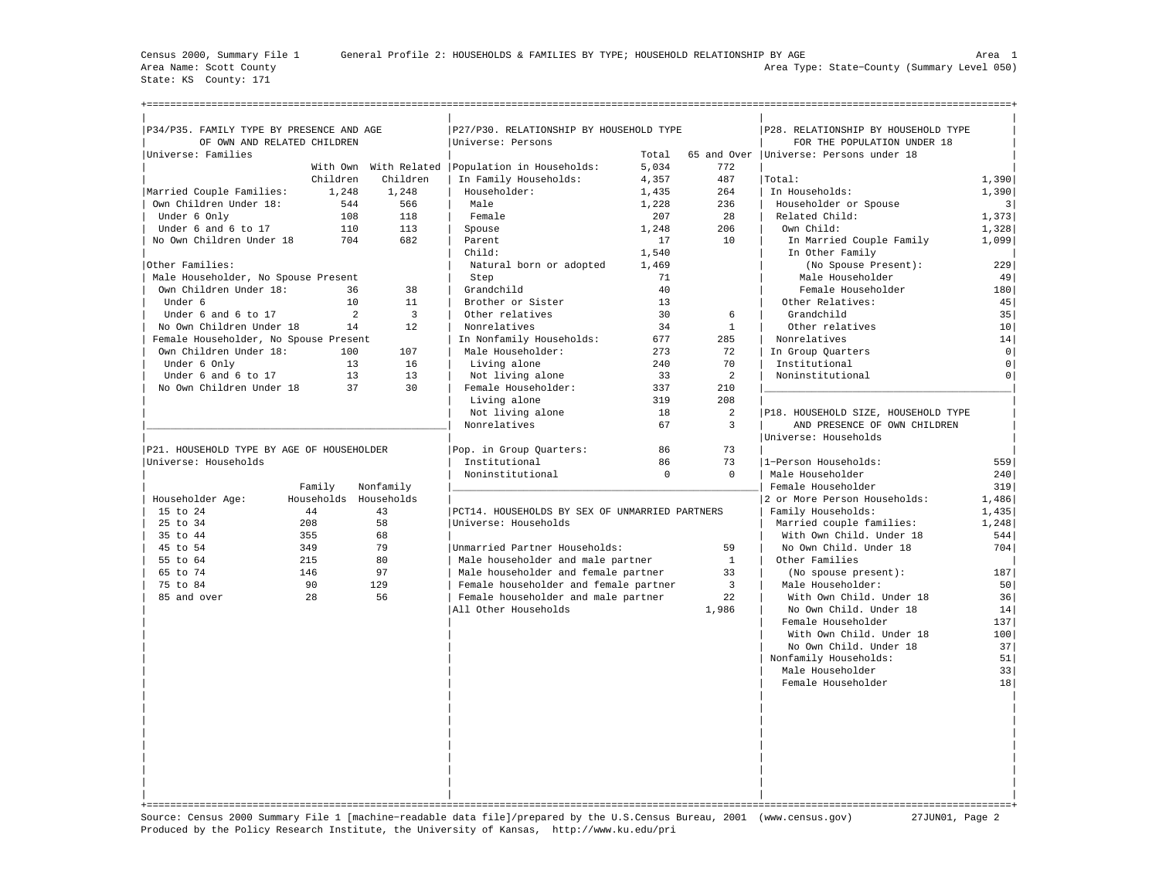State: KS County: 171

| P34/P35. FAMILY TYPE BY PRESENCE AND AGE  |          |                       | P27/P30. RELATIONSHIP BY HOUSEHOLD TYPE           |          |                | P28. RELATIONSHIP BY HOUSEHOLD TYPE      |                |
|-------------------------------------------|----------|-----------------------|---------------------------------------------------|----------|----------------|------------------------------------------|----------------|
| OF OWN AND RELATED CHILDREN               |          |                       | Universe: Persons                                 |          |                | FOR THE POPULATION UNDER 18              |                |
| Universe: Families                        |          |                       |                                                   | Total    |                | 65 and Over   Universe: Persons under 18 |                |
|                                           |          |                       | With Own With Related   Population in Households: | 5,034    | 772            |                                          |                |
|                                           | Children | Children              | In Family Households:                             | 4,357    | 487            | Total:                                   | 1,390          |
| Married Couple Families:                  | 1,248    | 1,248                 | Householder:                                      | 1,435    | 264            | In Households:                           | 1,390          |
| Own Children Under 18:                    | 544      | 566                   | Male                                              | 1,228    | 236            | Householder or Spouse                    | $\vert$ 3      |
| Under 6 Only                              | 108      | 118                   | Female                                            | 207      | 28             | Related Child:                           | 1,373          |
| Under 6 and 6 to 17                       | 110      | 113                   | Spouse                                            | 1,248    | 206            | Own Child:                               | 1,328          |
| No Own Children Under 18                  | 704      | 682                   | Parent                                            | 17       | 10             | In Married Couple Family                 | 1,099          |
|                                           |          |                       | Child:                                            | 1,540    |                | In Other Family                          |                |
| Other Families:                           |          |                       | Natural born or adopted                           | 1,469    |                | (No Spouse Present):                     | 229            |
| Male Householder, No Spouse Present       |          |                       | Step                                              | 71       |                | Male Householder                         | 49             |
| Own Children Under 18:                    | 36       | 38                    | Grandchild                                        | 40       |                | Female Householder                       | 180            |
| Under 6                                   | 10       | 11                    | Brother or Sister                                 | 13       |                | Other Relatives:                         | 45             |
| Under 6 and 6 to 17                       | 2        | $\overline{3}$        | Other relatives                                   | 30       | 6              | Grandchild                               | 35             |
| No Own Children Under 18                  | 14       | 12                    | Nonrelatives                                      | 34       | $\mathbf{1}$   | Other relatives                          | 10             |
| Female Householder, No Spouse Present     |          |                       | In Nonfamily Households:                          | 677      | 285            | Nonrelatives                             | 14             |
| Own Children Under 18:                    | 100      | 107                   | Male Householder:                                 | 273      | 72             | In Group Quarters                        | $\mathsf{O}$   |
| Under 6 Only                              | 13       | 16                    | Living alone                                      | 240      | 70             | Institutional                            | $\mathsf{O}$   |
| Under 6 and 6 to 17                       | 13       | 13                    | Not living alone                                  | 33       | $\overline{a}$ | Noninstitutional                         | $\overline{0}$ |
| No Own Children Under 18                  | 37       | 30                    | Female Householder:                               | 337      | 210            |                                          |                |
|                                           |          |                       | Living alone                                      | 319      | 208            |                                          |                |
|                                           |          |                       | Not living alone                                  | 18       | 2              | P18. HOUSEHOLD SIZE, HOUSEHOLD TYPE      |                |
|                                           |          |                       | Nonrelatives                                      | 67       | $\overline{3}$ | AND PRESENCE OF OWN CHILDREN             |                |
|                                           |          |                       |                                                   |          |                | Universe: Households                     |                |
| P21. HOUSEHOLD TYPE BY AGE OF HOUSEHOLDER |          |                       | Pop. in Group Quarters:                           | 86       | 73             |                                          |                |
| Universe: Households                      |          |                       | Institutional                                     | 86       | 73             | 1-Person Households:                     | 559            |
|                                           |          |                       | Noninstitutional                                  | $\Omega$ | $\mathbf{0}$   | Male Householder                         | 240            |
|                                           | Family   | Nonfamily             |                                                   |          |                | Female Householder                       | 319            |
| Householder Age:                          |          | Households Households |                                                   |          |                | 2 or More Person Households:             | 1,486          |
| 15 to 24                                  | 44       | 43                    | PCT14. HOUSEHOLDS BY SEX OF UNMARRIED PARTNERS    |          |                | Family Households:                       | 1,435          |
| 25 to 34                                  | 208      | 58                    | Universe: Households                              |          |                | Married couple families:                 | 1,248          |
| 35 to 44                                  | 355      | 68                    |                                                   |          |                | With Own Child. Under 18                 | 544            |
| 45 to 54                                  | 349      | 79                    | Unmarried Partner Households:                     |          | 59             | No Own Child. Under 18                   | 704            |
| 55 to 64                                  | 215      | 80                    | Male householder and male partner                 |          | $\mathbf{1}$   | Other Families                           |                |
| 65 to 74                                  | 146      | 97                    | Male householder and female partner               |          | 33             | (No spouse present):                     | 187            |
| 75 to 84                                  | 90       | 129                   | Female householder and female partner             |          | 3              | Male Householder:                        | 50             |
| 85 and over                               | 28       | 56                    | Female householder and male partner               |          | 22             | With Own Child. Under 18                 | 36             |
|                                           |          |                       | All Other Households                              |          | 1,986          | No Own Child. Under 18                   | 14             |
|                                           |          |                       |                                                   |          |                | Female Householder                       | 137            |
|                                           |          |                       |                                                   |          |                | With Own Child. Under 18                 | 100            |
|                                           |          |                       |                                                   |          |                | No Own Child. Under 18                   | 37             |
|                                           |          |                       |                                                   |          |                | Nonfamily Households:                    | 51             |
|                                           |          |                       |                                                   |          |                | Male Householder                         | 33             |
|                                           |          |                       |                                                   |          |                | Female Householder                       | 18             |
|                                           |          |                       |                                                   |          |                |                                          |                |
|                                           |          |                       |                                                   |          |                |                                          |                |
|                                           |          |                       |                                                   |          |                |                                          |                |
|                                           |          |                       |                                                   |          |                |                                          |                |
|                                           |          |                       |                                                   |          |                |                                          |                |
|                                           |          |                       |                                                   |          |                |                                          |                |
|                                           |          |                       |                                                   |          |                |                                          |                |
|                                           |          |                       |                                                   |          |                |                                          |                |
|                                           |          |                       |                                                   |          |                |                                          |                |
|                                           |          |                       |                                                   |          |                |                                          |                |

Source: Census 2000 Summary File 1 [machine−readable data file]/prepared by the U.S.Census Bureau, 2001 (www.census.gov) 27JUN01, Page 2 Produced by the Policy Research Institute, the University of Kansas, http://www.ku.edu/pri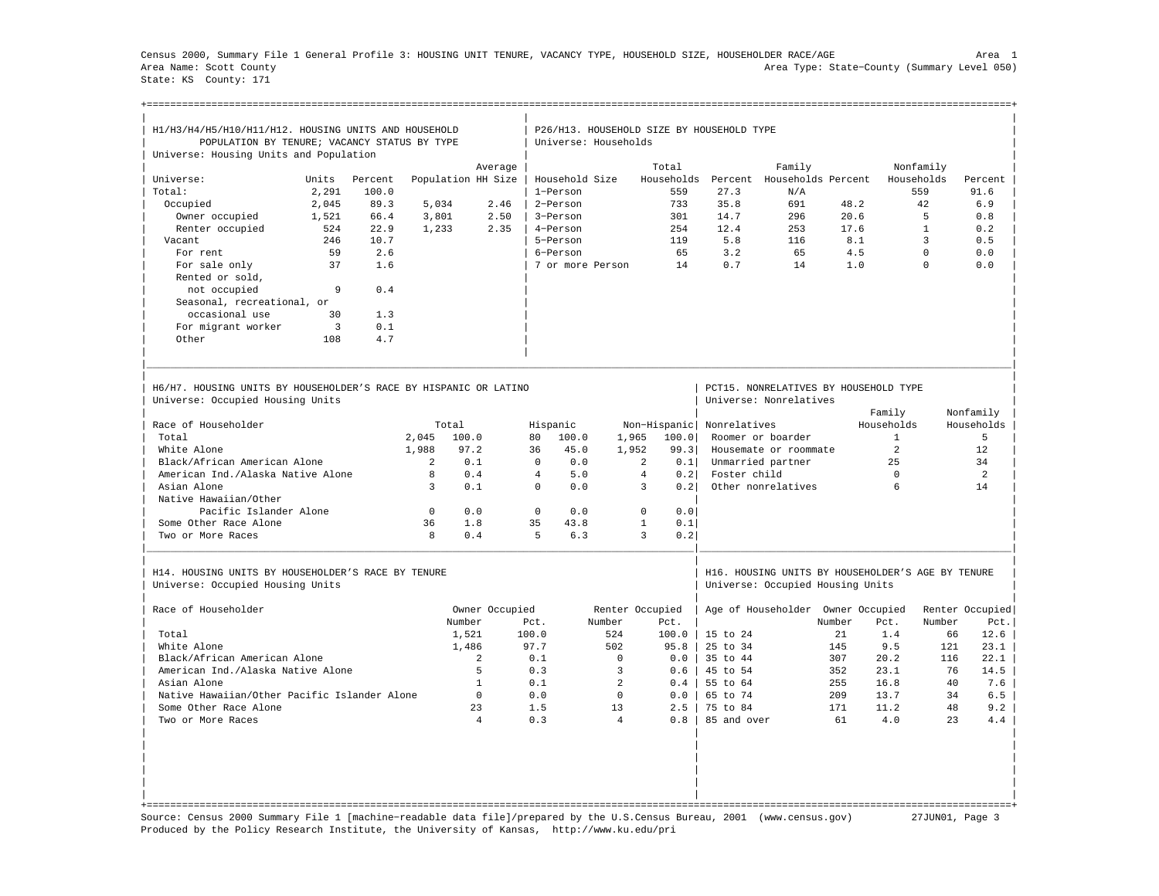Census 2000, Summary File 1 General Profile 3: HOUSING UNIT TENURE, VACANCY TYPE, HOUSEHOLD SIZE, HOUSEHOLDER RACE/AGE Area 1 Area Name: Scott County Area Type: State−County (Summary Level 050) State: KS County: 171

+===================================================================================================================================================+

| H1/H3/H4/H5/H10/H11/H12. HOUSING UNITS AND HOUSEHOLD<br>POPULATION BY TENURE; VACANCY STATUS BY TYPE |                |         |              |                    |                | Universe: Households |                | P26/H13. HOUSEHOLD SIZE BY HOUSEHOLD TYPE |                     |                                                                                       |        |                |                |                 |
|------------------------------------------------------------------------------------------------------|----------------|---------|--------------|--------------------|----------------|----------------------|----------------|-------------------------------------------|---------------------|---------------------------------------------------------------------------------------|--------|----------------|----------------|-----------------|
| Universe: Housing Units and Population                                                               |                |         |              |                    |                |                      |                |                                           |                     |                                                                                       |        |                |                |                 |
|                                                                                                      |                |         |              |                    | Average        |                      |                | Total                                     |                     | Family                                                                                |        |                | Nonfamily      |                 |
| Universe:                                                                                            | Units          | Percent |              | Population HH Size |                | Household Size       |                | Households                                | Percent             | Households Percent                                                                    |        |                | Households     | Percent         |
| Total:                                                                                               | 2,291          | 100.0   |              |                    |                | 1-Person             |                | 559                                       | 27.3                | N/A                                                                                   |        |                | 559            | 91.6            |
| Occupied                                                                                             | 2.045          | 89.3    | 5.034        |                    | 2.46           | 2-Person             |                | 733                                       | 35.8                | 691                                                                                   | 48.2   |                | 42             | 6.9             |
| Owner occupied                                                                                       | 1,521          | 66.4    | 3,801        |                    | 2.50           | 3-Person             |                | 301                                       | 14.7                | 296                                                                                   | 20.6   |                | $\overline{5}$ | 0.8             |
| Renter occupied                                                                                      | 524            | 22.9    | 1,233        |                    | 2.35           | 4-Person             |                | 254                                       | 12.4                | 253                                                                                   | 17.6   |                | $\mathbf{1}$   | 0.2             |
| Vacant                                                                                               | 246            | 10.7    |              |                    |                | 5-Person             |                | 119                                       | 5.8                 | 116                                                                                   |        | 8.1            | $\overline{3}$ | 0.5             |
| For rent                                                                                             | 59             | 2.6     |              |                    |                | 6-Person             |                | 65                                        | 3.2                 | 65                                                                                    |        | 4.5            | $\Omega$       | 0.0             |
| For sale only                                                                                        | 37             | 1.6     |              |                    |                | 7 or more Person     |                | 14                                        | 0.7                 | 14                                                                                    |        | 1.0            | $\Omega$       | 0.0             |
|                                                                                                      |                |         |              |                    |                |                      |                |                                           |                     |                                                                                       |        |                |                |                 |
| Rented or sold,                                                                                      |                |         |              |                    |                |                      |                |                                           |                     |                                                                                       |        |                |                |                 |
| not occupied                                                                                         | 9              | 0.4     |              |                    |                |                      |                |                                           |                     |                                                                                       |        |                |                |                 |
| Seasonal, recreational, or                                                                           |                |         |              |                    |                |                      |                |                                           |                     |                                                                                       |        |                |                |                 |
| occasional use                                                                                       | 30             | 1.3     |              |                    |                |                      |                |                                           |                     |                                                                                       |        |                |                |                 |
| For migrant worker                                                                                   | $\overline{3}$ | 0.1     |              |                    |                |                      |                |                                           |                     |                                                                                       |        |                |                |                 |
| Other                                                                                                | 108            | 4.7     |              |                    |                |                      |                |                                           |                     |                                                                                       |        |                |                |                 |
| H6/H7. HOUSING UNITS BY HOUSEHOLDER'S RACE BY HISPANIC OR LATINO<br>Universe: Occupied Housing Units |                |         |              |                    |                |                      |                |                                           |                     | PCT15. NONRELATIVES BY HOUSEHOLD TYPE<br>Universe: Nonrelatives                       |        |                |                |                 |
|                                                                                                      |                |         |              |                    |                |                      |                |                                           |                     |                                                                                       |        | Family         |                | Nonfamily       |
| Race of Householder                                                                                  |                |         |              | Total              |                | Hispanic             |                | Non-Hispanic                              | Nonrelatives        |                                                                                       |        | Households     |                | Households      |
| Total                                                                                                |                |         | 2,045        | 100.0              | 80             | 100.0                | 1,965          | 100.0                                     |                     | Roomer or boarder                                                                     |        | $\mathbf{1}$   |                | 5               |
| White Alone                                                                                          |                |         | 1,988        | 97.2               | 36             | 45.0                 | 1,952          | 99.3                                      |                     | Housemate or roommate                                                                 |        | $\mathfrak{D}$ |                | 12              |
| Black/African American Alone                                                                         |                |         | 2            | 0.1                | $\Omega$       | 0.0                  |                | 2                                         |                     |                                                                                       |        | 25             |                | 34              |
|                                                                                                      |                |         |              |                    |                |                      |                | 0.1                                       |                     | Unmarried partner                                                                     |        |                |                |                 |
| American Ind./Alaska Native Alone                                                                    |                |         | 8            | 0.4                | $\overline{4}$ | 5.0                  |                | $\overline{4}$<br>0.2                     | Foster child        |                                                                                       |        | $\Omega$       |                | $\mathfrak{D}$  |
| Asian Alone                                                                                          |                |         | 3            | 0.1                | $\Omega$       | 0.0                  |                | 3<br>0.2                                  |                     | Other nonrelatives                                                                    |        | 6              |                | 14              |
| Native Hawaiian/Other                                                                                |                |         |              |                    |                |                      |                |                                           |                     |                                                                                       |        |                |                |                 |
| Pacific Islander Alone                                                                               |                |         | $\mathbf{0}$ | 0.0                | $\mathbf{0}$   | 0.0                  |                | $\mathbf{0}$<br>0.0                       |                     |                                                                                       |        |                |                |                 |
| Some Other Race Alone                                                                                |                |         | 36           | 1.8                | 35             | 43.8                 |                | $\mathbf{1}$<br>0.1                       |                     |                                                                                       |        |                |                |                 |
| Two or More Races                                                                                    |                |         | 8            | 0.4                | 5              | 6.3                  |                | 3<br>0.2                                  |                     |                                                                                       |        |                |                |                 |
| H14. HOUSING UNITS BY HOUSEHOLDER'S RACE BY TENURE<br>Universe: Occupied Housing Units               |                |         |              |                    |                |                      |                |                                           |                     | H16. HOUSING UNITS BY HOUSEHOLDER'S AGE BY TENURE<br>Universe: Occupied Housing Units |        |                |                |                 |
| Race of Householder                                                                                  |                |         |              |                    | Owner Occupied |                      |                | Renter Occupied                           |                     | Age of Householder Owner Occupied                                                     |        |                |                | Renter Occupied |
|                                                                                                      |                |         |              | Number             | Pct.           |                      | Number         | Pct.                                      |                     |                                                                                       | Number | Pct.           | Number         | Pct.            |
| Total                                                                                                |                |         |              |                    | 100.0          |                      | 524            | 100.0                                     | 15 to 24            |                                                                                       | 21     | 1.4            | 66             | 12.6            |
| White Alone                                                                                          |                |         |              | 1,521              | 97.7           |                      | 502            | 95.8                                      | $25 \text{ to } 34$ |                                                                                       | 145    | 9.5            | 121            | 23.1            |
|                                                                                                      |                |         |              | 1,486              |                |                      |                |                                           |                     |                                                                                       |        |                |                |                 |
| Black/African American Alone                                                                         |                |         |              | 2                  | 0.1            |                      | $\mathbf 0$    | 0.0                                       | 35 to 44            |                                                                                       | 307    | 20.2           | 116            | 22.1            |
| American Ind./Alaska Native Alone                                                                    |                |         |              | 5                  | 0.3            |                      | $\overline{3}$ | 0.6                                       | 45 to 54            |                                                                                       | 352    | 23.1           | 76             | 14.5            |
| Asian Alone                                                                                          |                |         |              | $\mathbf{1}$       | 0.1            |                      | 2              | 0.4                                       | 55 to 64            |                                                                                       | 255    | 16.8           | 40             | 7.6             |
| Native Hawaiian/Other Pacific Islander Alone                                                         |                |         |              | $\Omega$           | 0.0            |                      | $\Omega$       | 0.0                                       | 65 to 74            |                                                                                       | 209    | 13.7           | 34             | 6.5             |
| Some Other Race Alone                                                                                |                |         |              | 23                 | 1.5            |                      | 13             | 2.5                                       | 75 to 84            |                                                                                       | 171    | 11.2           | 48             | 9.2             |
| Two or More Races                                                                                    |                |         |              | $\overline{4}$     | 0.3            |                      | $\overline{4}$ | 0.8                                       | 85 and over         |                                                                                       | 61     | 4.0            | 2.3            | 4.4             |
|                                                                                                      |                |         |              |                    |                |                      |                |                                           |                     |                                                                                       |        |                |                |                 |
|                                                                                                      |                |         |              |                    |                |                      |                |                                           |                     |                                                                                       |        |                |                |                 |

Source: Census 2000 Summary File 1 [machine−readable data file]/prepared by the U.S.Census Bureau, 2001 (www.census.gov) 27JUN01, Page 3 Produced by the Policy Research Institute, the University of Kansas, http://www.ku.edu/pri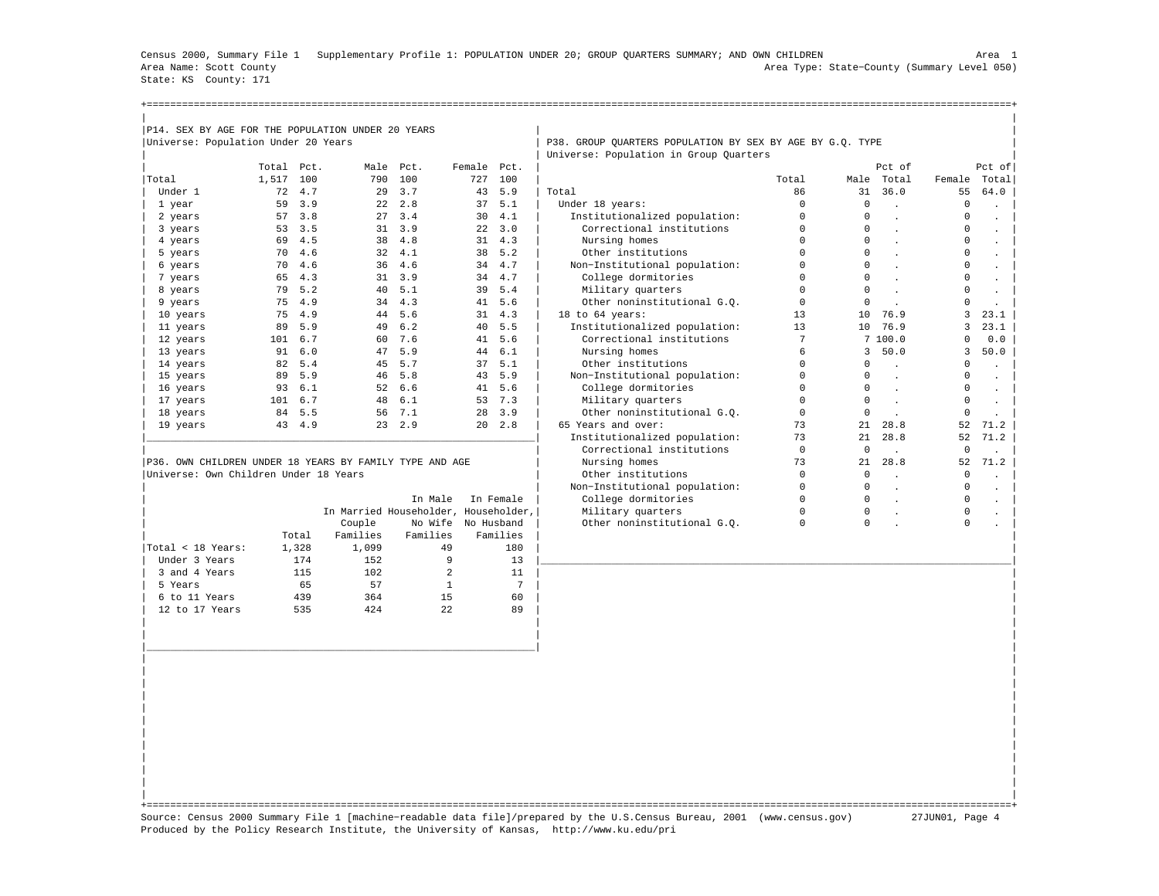Census 2000, Summary File 1 Supplementary Profile 1: POPULATION UNDER 20; GROUP QUARTERS SUMMARY; AND OWN CHILDREN Area 1 Area Name: Scott County Area Type: State−County (Summary Level 050) State: KS County: 171

| P14. SEX BY AGE FOR THE POPULATION UNDER 20 YEARS |       |      |      |      |        |      |                                                           |       |          |        |        |        |
|---------------------------------------------------|-------|------|------|------|--------|------|-----------------------------------------------------------|-------|----------|--------|--------|--------|
|                                                   |       |      |      |      |        |      |                                                           |       |          |        |        |        |
| Universe: Population Under 20 Years               |       |      |      |      |        |      | P38. GROUP QUARTERS POPULATION BY SEX BY AGE BY G.Q. TYPE |       |          |        |        |        |
|                                                   | Total | Pct. | Male |      | Female | Pct. | Universe: Population in Group Quarters                    |       |          | Pct of |        |        |
|                                                   |       |      |      | Pct. |        |      |                                                           |       |          |        |        | Pct of |
| Total                                             | 1,517 | 100  | 790  | 100  | 727    | 100  |                                                           | Total | Male     | Total  | Female | Total  |
| Under 1                                           | 72    | 4.7  | 29   | 3.7  | 43     | 5.9  | Total                                                     | 86    | 31       | 36.0   | 55     | 64.0   |
| 1 year                                            | 59    | 3.9  | 22   | 2.8  | 37     | 5.1  | Under 18 years:                                           |       |          |        |        |        |
| 2 years                                           | 57    | 3.8  | 27   | 3.4  | 30     | 4.1  | Institutionalized population:                             |       | 0        |        |        |        |
| 3 years                                           | 53    | 3.5  | 31   | 3.9  | 22     | 3.0  | Correctional institutions                                 |       | 0        |        |        |        |
| 4 years                                           | 69    | 4.5  | 38   | 4.8  | 31     | 4.3  | Nursing homes                                             |       | 0        |        |        |        |
| 5 years                                           | 70    | 4.6  | 32   | 4.1  | 38     | 5.2  | Other institutions                                        |       | 0        |        |        |        |
| 6 years                                           | 70    | 4.6  | 36   | 4.6  | 34     | 4.7  | Non-Institutional population:                             |       | $\Omega$ |        |        |        |
| 7 years                                           | 65    | 4.3  | 31   | 3.9  | 34     | 4.7  | College dormitories                                       |       | 0        |        |        |        |
| 8 years                                           | 79    | 5.2  | 40   | 5.1  | 39     | 5.4  | Military quarters                                         |       | 0        |        |        |        |
| 9 years                                           | 75    | 4.9  | 34   | 4.3  | 41     | 5.6  | Other noninstitutional G.O.                               |       |          |        |        |        |
| 10 years                                          | 75    | 4.9  | 44   | 5.6  | 31     | 4.3  | 18 to 64 years:                                           | 13    | 10       | 76.9   |        | 23.1   |
| 11 years                                          | 89    | 5.9  | 49   | 6.2  | 40     | 5.5  | Institutionalized population:                             | 13    | 10       | 76.9   |        | 23.1   |
| 12 years                                          | 101   | 6.7  | 60   | 7.6  | 41     | 5.6  | Correctional institutions                                 |       |          | 7100.0 |        | 0.0    |
| 13 years                                          | 91    | 6.0  | 47   | 5.9  | 44     | 6.1  | Nursing homes                                             |       | 3.       | 50.0   |        | 50.0   |
| 14 years                                          | 82    | 5.4  | 45   | 5.7  | 37     | 5.1  | Other institutions                                        |       |          |        |        |        |
| 15 years                                          | 89    | 5.9  | 46   | 5.8  | 43     | 5.9  | Non-Institutional population:                             |       | 0        |        |        |        |

|                   |       |          | In Male  | In Female                            | College dormitories         | $\mathbf 0$ |   |  |
|-------------------|-------|----------|----------|--------------------------------------|-----------------------------|-------------|---|--|
|                   |       |          |          | In Married Householder, Householder, | Military quarters           | $\Omega$    | 0 |  |
|                   |       | Couple   |          | No Wife No Husband                   | Other noninstitutional G.O. | 0           |   |  |
|                   | Total | Families | Families | Families                             |                             |             |   |  |
| Total < 18 Years: | 1,328 | 1,099    | 49       | 180                                  |                             |             |   |  |
| Under 3 Years     | 174   | 152      |          | 13                                   |                             |             |   |  |
| 3 and 4 Years     | 115   | 102      | 2        | 11                                   |                             |             |   |  |
| 5 Years           | 65    | 57       |          |                                      |                             |             |   |  |
| 6 to 11 Years     | 439   | 364      | 15       | 60                                   |                             |             |   |  |
| 12 to 17 Years    | 535   | 424      | 22       | 89                                   |                             |             |   |  |
|                   |       |          |          |                                      |                             |             |   |  |

| 16 years 93 6.1 52 6.6 41 5.6 | College dormitories 0 0 . 0 . | | 17 years 101 6.7 48 6.1 53 7.3 | Military quarters 0 0 . 0 . | | 18 years 84 5.5 56 7.1 28 3.9 | Other noninstitutional G.Q. 0 0 . 0 . | | 19 years 43 4.9 23 2.9 20 2.8 | 65 Years and over: 73 21 28.8 52 71.2 | |\_\_\_\_\_\_\_\_\_\_\_\_\_\_\_\_\_\_\_\_\_\_\_\_\_\_\_\_\_\_\_\_\_\_\_\_\_\_\_\_\_\_\_\_\_\_\_\_\_\_\_\_\_\_\_\_\_\_\_\_\_\_\_\_\_\_| Institutionalized population: 73 21 28.8 52 71.2 |  $|\hspace{.6cm}$  Correctional institutions  $|\hspace{.6cm}0\hspace{.6cm}|\hspace{.6cm}$  .  $|\hspace{.6cm}0\hspace{.6cm}|\hspace{.6cm}$ |P36. OWN CHILDREN UNDER 18 YEARS BY FAMILY TYPE AND AGE | Nursing homes 73 21 28.8 52 71.2 | |Universe: Own Children Under 18 Years | Other institutions | Other institutions | O 0 . 0 . 0 . 0 . 0 . | 0 . | 0 . | 0 . | 0 . | 0 . | 0 . | 0 . | 0 . | 0 . | 0 . | 0 . | 0 . | 0 . | 0 . | 0 . | 0 . | 0 . | 0 . | 0 . | 0 | | Non−Institutional population: 0 0 . 0 . |

| | +===================================================================================================================================================+ Source: Census 2000 Summary File 1 [machine−readable data file]/prepared by the U.S.Census Bureau, 2001 (www.census.gov) 27JUN01, Page 4 Produced by the Policy Research Institute, the University of Kansas, http://www.ku.edu/pri

| | | |\_\_\_\_\_\_\_\_\_\_\_\_\_\_\_\_\_\_\_\_\_\_\_\_\_\_\_\_\_\_\_\_\_\_\_\_\_\_\_\_\_\_\_\_\_\_\_\_\_\_\_\_\_\_\_\_\_\_\_\_\_\_\_\_\_\_| | | | | | | | | | | | | | | | | | | | | | | |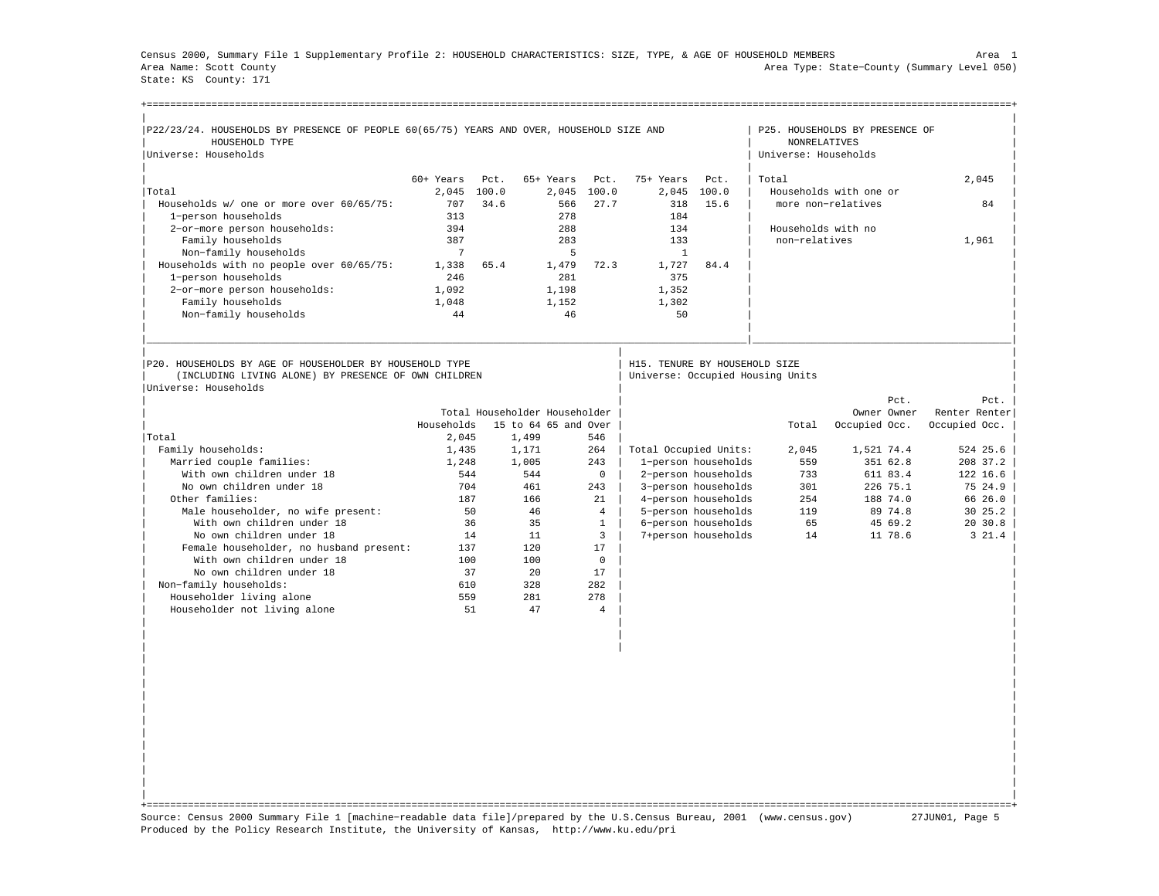Census 2000, Summary File 1 Supplementary Profile 2: HOUSEHOLD CHARACTERISTICS: SIZE, TYPE, & AGE OF HOUSEHOLD MEMBERS Area 1 Area Name: Scott County Area Type: State−County (Summary Level 050) State: KS County: 171

| P22/23/24. HOUSEHOLDS BY PRESENCE OF PEOPLE 60(65/75) YEARS AND OVER, HOUSEHOLD SIZE AND                                                |             |       |                               |                |                               |                                            |                                             | P25. HOUSEHOLDS BY PRESENCE OF |                     |
|-----------------------------------------------------------------------------------------------------------------------------------------|-------------|-------|-------------------------------|----------------|-------------------------------|--------------------------------------------|---------------------------------------------|--------------------------------|---------------------|
| HOUSEHOLD TYPE<br>Universe: Households                                                                                                  |             |       |                               |                |                               |                                            | <b>NONRELATIVES</b><br>Universe: Households |                                |                     |
|                                                                                                                                         |             |       |                               |                |                               |                                            |                                             |                                |                     |
|                                                                                                                                         | $60+$ Years | Pct.  | 65+ Years                     | Pct.           | 75+ Years                     | Pct.                                       | Total                                       |                                | 2,045               |
| Total                                                                                                                                   | 2,045       | 100.0 | 2,045                         | 100.0          | 2,045                         | 100.0                                      |                                             | Households with one or         |                     |
| Households w/ one or more over 60/65/75:                                                                                                | 707         | 34.6  | 566                           | 27.7           | 318                           | 15.6                                       |                                             | more non-relatives             | 84                  |
| 1-person households                                                                                                                     | 313         |       | 278                           |                | 184                           |                                            |                                             |                                |                     |
| 2-or-more person households:                                                                                                            | 394         |       | 288                           |                | 134                           |                                            | Households with no                          |                                |                     |
| Family households                                                                                                                       | 387         |       | 283                           |                | 133                           |                                            | non-relatives                               |                                | 1,961               |
| Non-family households                                                                                                                   | 7           |       | 5                             |                | $\mathbf{1}$                  |                                            |                                             |                                |                     |
| Households with no people over 60/65/75:                                                                                                | 1,338       | 65.4  | 1,479                         | 72.3           | 1,727                         | 84.4                                       |                                             |                                |                     |
| 1-person households                                                                                                                     | 246         |       | 281                           |                | 375                           |                                            |                                             |                                |                     |
| 2-or-more person households:                                                                                                            | 1,092       |       | 1,198                         |                | 1,352                         |                                            |                                             |                                |                     |
| Family households                                                                                                                       | 1,048       |       | 1,152                         |                | 1,302                         |                                            |                                             |                                |                     |
| Non-family households                                                                                                                   | 44          |       | 46                            |                | 50                            |                                            |                                             |                                |                     |
|                                                                                                                                         |             |       |                               |                |                               |                                            |                                             |                                |                     |
|                                                                                                                                         |             |       |                               |                |                               |                                            |                                             |                                |                     |
| P20. HOUSEHOLDS BY AGE OF HOUSEHOLDER BY HOUSEHOLD TYPE<br>(INCLUDING LIVING ALONE) BY PRESENCE OF OWN CHILDREN<br>Universe: Households |             |       |                               |                | H15. TENURE BY HOUSEHOLD SIZE |                                            | Universe: Occupied Housing Units            |                                |                     |
|                                                                                                                                         |             |       |                               |                |                               |                                            |                                             | Pct.                           | Pct.                |
|                                                                                                                                         |             |       | Total Householder Householder |                |                               |                                            |                                             | Owner Owner                    | Renter Renter       |
|                                                                                                                                         | Households  |       | 15 to 64 65 and Over          |                |                               |                                            | Total                                       | Occupied Occ.                  | Occupied Occ.       |
| Total                                                                                                                                   | 2,045       |       | 1,499                         | 546            |                               |                                            |                                             |                                |                     |
| Family households:                                                                                                                      | 1,435       |       | 1,171                         | 264<br>243     | Total Occupied Units:         |                                            | 2,045                                       | 1,521 74.4                     | 524 25.6            |
| Married couple families:                                                                                                                | 1,248       |       | 1,005                         |                |                               | 1-person households                        | 559                                         | 351 62.8                       | 208 37.2            |
| With own children under 18                                                                                                              | 544         |       | 544                           | $\mathbf 0$    |                               | 2-person households                        | 733<br>301                                  | 611 83.4                       |                     |
| No own children under 18                                                                                                                | 704<br>187  |       | 461<br>166                    | 243<br>2.1     |                               | 3-person households                        | 254                                         | 226 75.1                       | 122 16.6<br>75 24.9 |
| Other families:                                                                                                                         |             | 50    | 46                            | $\overline{4}$ |                               | 4-person households                        | 119                                         | 188 74.0<br>89 74.8            | 66 26.0             |
| Male householder, no wife present:<br>With own children under 18                                                                        |             | 36    | 35                            | $\mathbf{1}$   |                               | 5-person households<br>6-person households | 65                                          | 45 69.2                        | 20 30.8             |
| No own children under 18                                                                                                                |             |       | 11                            | 3              |                               |                                            | 14                                          | 11 78.6                        | 30 25.2             |
|                                                                                                                                         | 137         | 14    | 120                           | 17             |                               | 7+person households                        |                                             |                                | $3\;21.4$           |
| Female householder, no husband present:<br>With own children under 18                                                                   | 100         |       | 100                           | $\mathbf 0$    |                               |                                            |                                             |                                |                     |
| No own children under 18                                                                                                                |             | 37    | 20                            | 17             |                               |                                            |                                             |                                |                     |
| Non-family households:                                                                                                                  | 610         |       | 328                           | 282            |                               |                                            |                                             |                                |                     |
| Householder living alone                                                                                                                | 559         |       | 281                           | 278            |                               |                                            |                                             |                                |                     |
| Householder not living alone                                                                                                            |             | 51    | 47                            | $\overline{4}$ |                               |                                            |                                             |                                |                     |

| | +===================================================================================================================================================+ Source: Census 2000 Summary File 1 [machine−readable data file]/prepared by the U.S.Census Bureau, 2001 (www.census.gov) 27JUN01, Page 5 Produced by the Policy Research Institute, the University of Kansas, http://www.ku.edu/pri

| | | | | | | | | | | | | | | | | | | | | |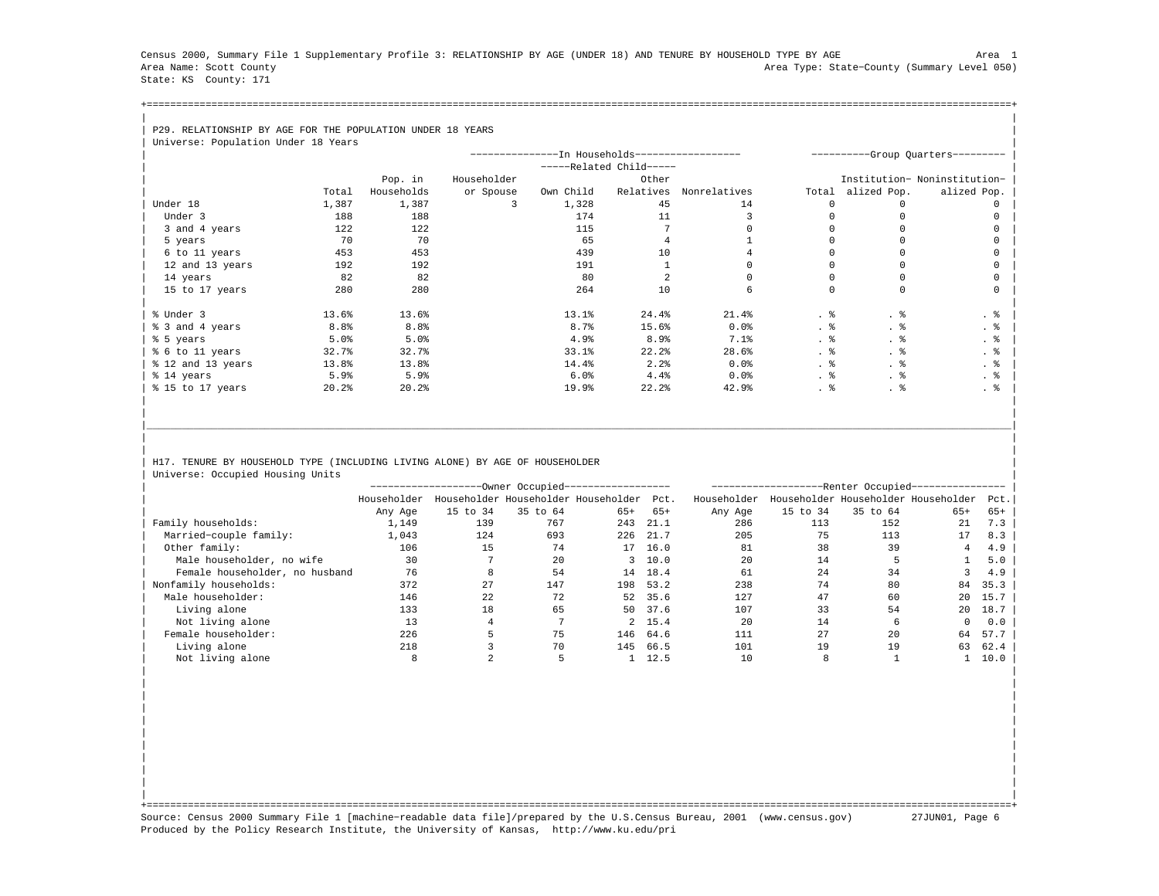Census 2000, Summary File 1 Supplementary Profile 3: RELATIONSHIP BY AGE (UNDER 18) AND TENURE BY HOUSEHOLD TYPE BY AGE Area 1 Area Name: Scott County Area Type: State−County (Summary Level 050) State: KS County: 171

+===================================================================================================================================================+| |

## | P29. RELATIONSHIP BY AGE FOR THE POPULATION UNDER 18 YEARS

| Universe: Population Under 18 Years |                  |                  |             |                                               |                       |              |       |              |                                   |
|-------------------------------------|------------------|------------------|-------------|-----------------------------------------------|-----------------------|--------------|-------|--------------|-----------------------------------|
|                                     |                  |                  |             | --------------In Households------------------ |                       |              |       |              | ----------Group Quarters--------- |
|                                     |                  |                  |             |                                               | $---Related Child---$ |              |       |              |                                   |
|                                     |                  | Pop. in          | Householder |                                               | Other                 |              |       |              | Institution- Noninstitution-      |
|                                     | Total            | Households       | or Spouse   | Own Child                                     | Relatives             | Nonrelatives | Total | alized Pop.  | alized Pop.                       |
| Under 18                            | 1,387            | 1,387            | 3           | 1,328                                         | 45                    | 14           | n     | <sup>n</sup> |                                   |
| Under 3                             | 188              | 188              |             | 174                                           | 11                    |              |       |              |                                   |
| 3 and 4 years                       | 122              | 122              |             | 115                                           |                       |              |       |              |                                   |
| 5 years                             | 70               | 70               |             | 65                                            |                       |              |       |              |                                   |
| 6 to 11 years                       | 453              | 453              |             | 439                                           | 10                    |              |       |              |                                   |
| 12 and 13 years                     | 192              | 192              |             | 191                                           |                       |              |       |              |                                   |
| 14 years                            | 82               | 82               |             | 80                                            |                       |              |       |              |                                   |
| 15 to 17 years                      | 280              | 280              |             | 264                                           | 10                    |              |       | $\Omega$     |                                   |
|                                     |                  |                  |             |                                               |                       |              |       |              |                                   |
| % Under 3                           | 13.6%            | 13.6%            |             | 13.1%                                         | 24.4%                 | 21.4%        | . 응   | . 응          | . 응                               |
| % 3 and 4 years                     | 8.8 <sup>°</sup> | 8.8 <sup>°</sup> |             | 8.7 <sub>8</sub>                              | 15.6%                 | $0.0$ $%$    | . 응   |              | . 응                               |
| % 5 years                           | 5.0%             | 5.0%             |             | 4.9%                                          | 8.9%                  | 7.1%         | . 응   | . ક          | . 응                               |
| % 6 to 11 years                     | 32.7%            | 32.7%            |             | 33.1%                                         | 22.2                  | 28.6%        | . 응   | . 응          | . 응                               |
| % 12 and 13 years                   | 13.8%            | 13.8%            |             | 14.4%                                         | 2.2%                  | $0.0$ $%$    | . 응   | . 응          | . 응                               |
| % 14 years                          | 5.9%             | 5.9%             |             | 6.0%                                          | 4.4%                  | $0.0$ $%$    | . 응   | . 응          | $\cdot$ $\cdot$                   |
| % 15 to 17 years                    | 20.2%            | 20.2%            |             | 19.9%                                         | 22.2%                 | 42.9%        | . 응   | . 응          | . 응                               |
|                                     |                  |                  |             |                                               |                       |              |       |              |                                   |

## H17. TENURE BY HOUSEHOLD TYPE (INCLUDING LIVING ALONE) BY AGE OF HOUSEHOLDER Universe: Occupied Housing Units

|                                |             |          | --Owner Occupied---                 |       |         | -Renter Occupied-- |          |          |                                     |       |  |  |
|--------------------------------|-------------|----------|-------------------------------------|-------|---------|--------------------|----------|----------|-------------------------------------|-------|--|--|
|                                | Householder |          | Householder Householder Householder |       | Pct.    | Householder        |          |          | Householder Householder Householder | Pct.  |  |  |
|                                | Any Age     | 15 to 34 | 35 to 64                            | $65+$ | $65+$   | Any Age            | 15 to 34 | 35 to 64 | $65+$                               | $65+$ |  |  |
| Family households:             | 1,149       | 139      | 767                                 | 243   | 21.1    | 286                | 113      | 152      | 21                                  | 7.3   |  |  |
| Married-couple family:         | 1,043       | 124      | 693                                 | 226   | 21.7    | 205                | 75       | 113      | 17                                  | 8.3   |  |  |
| Other family:                  | 106         | 15       | 74                                  | 17    | 16.0    | 81                 | 38       | 39       | 4                                   | 4.9   |  |  |
| Male householder, no wife      | 30          |          | 20                                  |       | 3, 10.0 | 20                 | 14       |          |                                     | 5.0   |  |  |
| Female householder, no husband | 76          |          | 54                                  | 14    | 18.4    | 61                 | 24       | 34       |                                     | 4.9   |  |  |
| Nonfamily households:          | 372         | 27       | 147                                 | 198   | 53.2    | 238                | 74       | 80       | 84                                  | 35.3  |  |  |
| Male householder:              | 146         | 22       | 72                                  | 52    | 35.6    | 127                | 47       | 60       | 20                                  | 15.7  |  |  |
| Living alone                   | 133         | 18       | 65                                  | 50    | 37.6    | 107                | 33       | 54       | 20                                  | 18.7  |  |  |
| Not living alone               | 13          |          |                                     |       | 2, 15.4 | 20                 | 14       | 6        | 0                                   | 0.0   |  |  |
| Female householder:            | 226         |          | 75                                  | 146   | 64.6    | 111                | 27       | 20       | 64                                  | 57.7  |  |  |
| Living alone                   | 218         |          | 70                                  | 145   | 66.5    | 101                | 19       | 19       | 63                                  | 62.4  |  |  |
| Not living alone               |             |          |                                     |       | 12.5    | 10                 |          |          |                                     | 10.0  |  |  |

| | | | | | | | | | | | | | | | | | | |

|\_\_\_\_\_\_\_\_\_\_\_\_\_\_\_\_\_\_\_\_\_\_\_\_\_\_\_\_\_\_\_\_\_\_\_\_\_\_\_\_\_\_\_\_\_\_\_\_\_\_\_\_\_\_\_\_\_\_\_\_\_\_\_\_\_\_\_\_\_\_\_\_\_\_\_\_\_\_\_\_\_\_\_\_\_\_\_\_\_\_\_\_\_\_\_\_\_\_\_\_\_\_\_\_\_\_\_\_\_\_\_\_\_\_\_\_\_\_\_\_\_\_\_\_\_\_\_\_\_\_\_\_\_\_\_\_\_\_\_\_\_\_\_\_\_\_\_| | | | |

| | +===================================================================================================================================================+ Source: Census 2000 Summary File 1 [machine−readable data file]/prepared by the U.S.Census Bureau, 2001 (www.census.gov) 27JUN01, Page 6 Produced by the Policy Research Institute, the University of Kansas, http://www.ku.edu/pri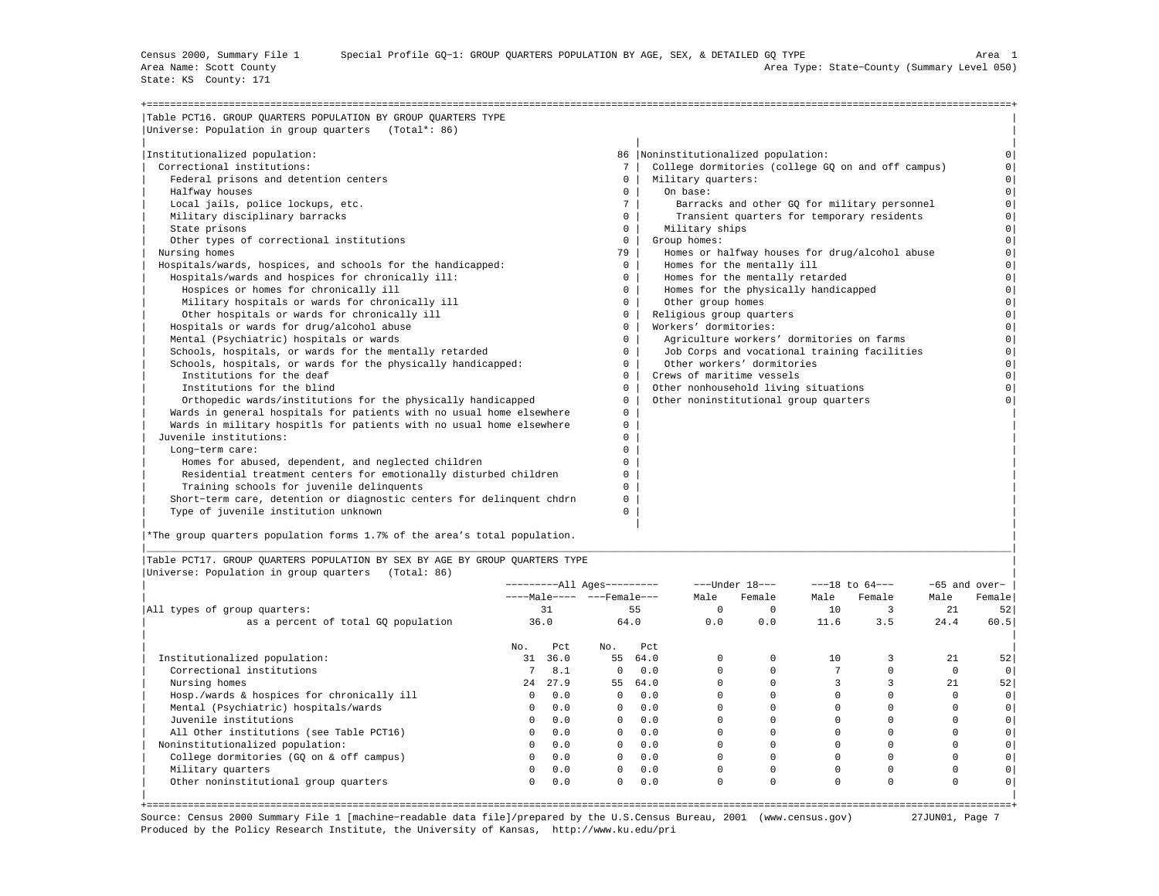State: KS County: 171

| Table PCT16. GROUP QUARTERS POPULATION BY GROUP QUARTERS TYPE         |              |                                                    |          |
|-----------------------------------------------------------------------|--------------|----------------------------------------------------|----------|
| Universe: Population in group quarters (Total*: 86)                   |              |                                                    |          |
| Institutionalized population:                                         |              | 86   Noninstitutionalized population:              |          |
| Correctional institutions:                                            | 7            | College dormitories (college GO on and off campus) |          |
| Federal prisons and detention centers                                 | $\mathbf{0}$ | Military quarters:                                 | $\Omega$ |
| Halfway houses                                                        | $\mathbf{0}$ | On base:                                           | $\Omega$ |
| Local jails, police lockups, etc.                                     | 7            | Barracks and other GO for military personnel       | $\Omega$ |
| Military disciplinary barracks                                        | $\Omega$     | Transient quarters for temporary residents         | $\Omega$ |
| State prisons                                                         | $\Omega$     | Military ships                                     | $\Omega$ |
| Other types of correctional institutions                              | $\Omega$     | Group homes:                                       | $\Omega$ |
| Nursing homes                                                         | 79           | Homes or halfway houses for drug/alcohol abuse     | $\Omega$ |
| Hospitals/wards, hospices, and schools for the handicapped:           | $\circ$      | Homes for the mentally ill                         | $\Omega$ |
| Hospitals/wards and hospices for chronically ill:                     | $\Omega$     | Homes for the mentally retarded                    | $\Omega$ |
| Hospices or homes for chronically ill                                 | $^{\circ}$   | Homes for the physically handicapped               | $\circ$  |
| Military hospitals or wards for chronically ill                       | $\circ$      | Other group homes                                  | $\Omega$ |
| Other hospitals or wards for chronically ill                          | $\mathbf{0}$ | Religious group quarters                           | $\Omega$ |
| Hospitals or wards for drug/alcohol abuse                             | $\Omega$     | Workers' dormitories:                              | $\Omega$ |
| Mental (Psychiatric) hospitals or wards                               | $\Omega$     | Agriculture workers' dormitories on farms          | $\Omega$ |
| Schools, hospitals, or wards for the mentally retarded                | $\Omega$     | Job Corps and vocational training facilities       | $\circ$  |
| Schools, hospitals, or wards for the physically handicapped:          | $\Omega$     | Other workers' dormitories                         | $\Omega$ |
| Institutions for the deaf                                             | $^{\circ}$   | Crews of maritime vessels                          | $\Omega$ |
| Institutions for the blind                                            | $\Omega$     | Other nonhousehold living situations               | $\Omega$ |
| Orthopedic wards/institutions for the physically handicapped          | $\Omega$     | Other noninstitutional group quarters              |          |
| Wards in general hospitals for patients with no usual home elsewhere  | 0            |                                                    |          |
| Wards in military hospitls for patients with no usual home elsewhere  | 0            |                                                    |          |
| Juvenile institutions:                                                | 0            |                                                    |          |
| Long-term care:                                                       | $\Omega$     |                                                    |          |
| Homes for abused, dependent, and neglected children                   | 0            |                                                    |          |
| Residential treatment centers for emotionally disturbed children      | 0            |                                                    |          |
| Training schools for juvenile delinquents                             | 0            |                                                    |          |
| Short-term care, detention or diagnostic centers for delinquent chdrn | 0            |                                                    |          |
| Type of juvenile institution unknown                                  | 0            |                                                    |          |

|\*The group quarters population forms 1.7% of the area's total population. |

|Table PCT17. GROUP QUARTERS POPULATION BY SEX BY AGE BY GROUP QUARTERS TYPE | |Universe: Population in group quarters (Total: 86) |

|                                            |              |      | ----------All Ages--------- |      |          | $---Under 18---$ |          | $---18$ to $64---$ |          | $-65$ and over- |
|--------------------------------------------|--------------|------|-----------------------------|------|----------|------------------|----------|--------------------|----------|-----------------|
|                                            |              |      | ----Male---- ---Female---   |      | Male     | Female           | Male     | Female             | Male     | Female          |
| All types of group quarters:               |              | 31   |                             | 55   | $\Omega$ | $\Omega$         | 10       |                    | 21       | 52              |
| as a percent of total GQ population        |              | 36.0 |                             | 64.0 | 0.0      | 0.0              | 11.6     | 3.5                | 24.4     | 60.5            |
|                                            | No.          | Pct  | No.                         | Pct  |          |                  |          |                    |          |                 |
| Institutionalized population:              | 31           | 36.0 | 55                          | 64.0 | $\Omega$ |                  | 10       |                    | 21       | 52              |
| Correctional institutions                  |              | 8.1  | $\Omega$                    | 0.0  |          |                  |          |                    |          |                 |
| Nursing homes                              | 24           | 27.9 | 55                          | 64.0 |          |                  |          |                    | 21       | 52              |
| Hosp./wards & hospices for chronically ill | $\circ$      | 0.0  | $\Omega$                    | 0.0  |          |                  |          |                    |          |                 |
| Mental (Psychiatric) hospitals/wards       | 0            | 0.0  | $\Omega$                    | 0.0  |          |                  |          |                    |          |                 |
| Juvenile institutions                      | $\mathbf{0}$ | 0.0  | $\Omega$                    | 0.0  |          |                  |          |                    |          |                 |
| All Other institutions (see Table PCT16)   | $\circ$      | 0.0  | $\Omega$                    | 0.0  |          |                  |          |                    |          |                 |
| Noninstitutionalized population:           | $\circ$      | 0.0  | $\mathbf{0}$                | 0.0  |          |                  |          |                    |          |                 |
| College dormitories (GQ on & off campus)   | $\circ$      | 0.0  | $\Omega$                    | 0.0  | $\Omega$ |                  |          |                    |          |                 |
| Military quarters                          | 0            | 0.0  | $\mathbf{0}$                | 0.0  | $\Omega$ |                  |          |                    |          |                 |
| Other noninstitutional group quarters      | 0            | 0.0  | $\circ$                     | 0.0  | 0        | $\Omega$         | $\Omega$ | $\Omega$           | $\Omega$ |                 |
|                                            |              |      |                             |      |          |                  |          |                    |          |                 |

|\_\_\_\_\_\_\_\_\_\_\_\_\_\_\_\_\_\_\_\_\_\_\_\_\_\_\_\_\_\_\_\_\_\_\_\_\_\_\_\_\_\_\_\_\_\_\_\_\_\_\_\_\_\_\_\_\_\_\_\_\_\_\_\_\_\_\_\_\_\_\_\_\_\_\_\_\_\_\_\_\_\_\_\_\_\_\_\_\_\_\_\_\_\_\_\_\_\_\_\_\_\_\_\_\_\_\_\_\_\_\_\_\_\_\_\_\_\_\_\_\_\_\_\_\_\_\_\_\_\_\_\_\_\_\_\_\_\_\_\_\_\_\_\_\_\_\_|

+===================================================================================================================================================+ Source: Census 2000 Summary File 1 [machine−readable data file]/prepared by the U.S.Census Bureau, 2001 (www.census.gov) 27JUN01, Page 7 Produced by the Policy Research Institute, the University of Kansas, http://www.ku.edu/pri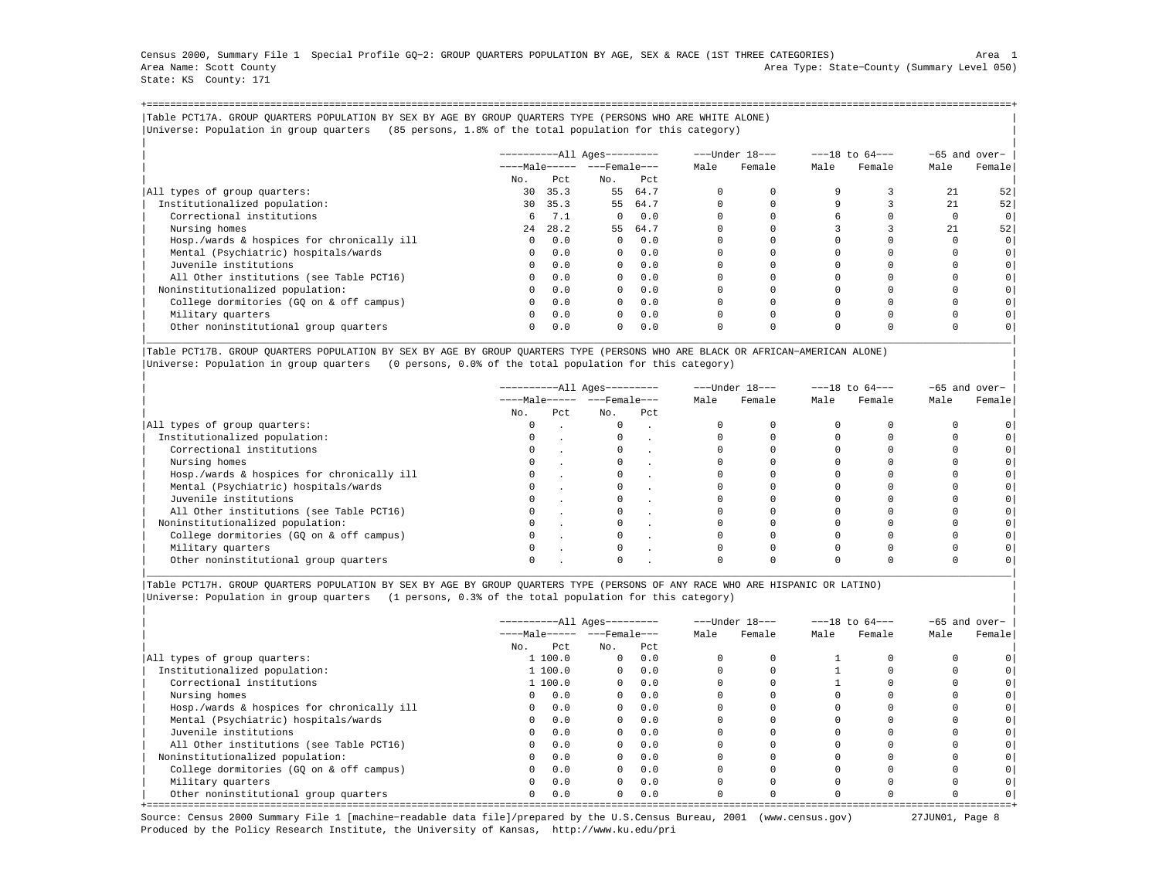Census 2000, Summary File 1 Special Profile GQ−2: GROUP QUARTERS POPULATION BY AGE, SEX & RACE (1ST THREE CATEGORIES) Area 1 Area Name: Scott County Area Type: State−County (Summary Level 050) State: KS County: 171

+===================================================================================================================================================+|Table PCT17A. GROUP QUARTERS POPULATION BY SEX BY AGE BY GROUP QUARTERS TYPE (PERSONS WHO ARE WHITE ALONE) | |Universe: Population in group quarters (85 persons, 1.8% of the total population for this category) |

|                                            |                       |         | $------All Aqes------$ |            |      | ---Under 18--- | $---18$ to $64---$ |        |      | -65 and over-  |
|--------------------------------------------|-----------------------|---------|------------------------|------------|------|----------------|--------------------|--------|------|----------------|
|                                            | $---Male--- - -Frame$ |         |                        |            | Male | Female         | Male               | Female | Male | Female         |
|                                            | No.                   | Pct     | No.                    | Pct        |      |                |                    |        |      |                |
| All types of group quarters:               | 30                    | 35.3    | 55                     | 64.7       |      |                |                    |        | 21   | 521            |
| Institutionalized population:              |                       | 30 35.3 |                        | 55 64.7    |      |                |                    |        | 2.1  | 52             |
| Correctional institutions                  | 6                     | 7.1     | $\Omega$               | 0.0        |      |                |                    |        |      | 0 <sup>1</sup> |
| Nursing homes                              | 2.4                   | 28.2    | 55                     | 64.7       |      |                |                    |        | 2.1  | 52             |
| Hosp./wards & hospices for chronically ill | $\Omega$              | 0.0     | $\Omega$               | 0.0        |      |                |                    |        |      | $\circ$        |
| Mental (Psychiatric) hospitals/wards       | $\Omega$              | 0.0     |                        | $0 \t 0.0$ |      |                |                    |        |      | 0 <sup>1</sup> |
| Juvenile institutions                      | $\Omega$              | 0.0     | $\Omega$               | 0.0        |      |                |                    |        |      |                |
| All Other institutions (see Table PCT16)   | $\Omega$              | 0.0     | $\Omega$               | 0.0        |      |                |                    |        |      |                |
| Noninstitutionalized population:           | $\Omega$              | 0.0     | $\Omega$               | 0.0        |      |                |                    |        |      |                |
| College dormitories (GO on & off campus)   | $\mathbf{0}$          | 0.0     | $\Omega$               | 0.0        |      |                |                    |        |      |                |
| Military quarters                          | $\mathbf{0}$          | 0.0     | $\mathbf{0}$           | 0.0        |      |                |                    |        |      |                |
| Other noninstitutional group quarters      | $\Omega$              | 0.0     | $\Omega$               | 0.0        |      |                | $\Omega$           |        |      |                |

|Table PCT17B. GROUP QUARTERS POPULATION BY SEX BY AGE BY GROUP QUARTERS TYPE (PERSONS WHO ARE BLACK OR AFRICAN−AMERICAN ALONE) | |Universe: Population in group quarters (0 persons, 0.0% of the total population for this category) |

|                                            |                                | ----------All Ages--------- |     |     | ---Under 18--- | $---18$ to $64---$ |      |        | -65 and over- |        |
|--------------------------------------------|--------------------------------|-----------------------------|-----|-----|----------------|--------------------|------|--------|---------------|--------|
|                                            | $---Male--- -  ---$ Female --- |                             |     |     |                | Female             | Male | Female | Male          | Female |
|                                            | No.                            | Pct                         | No. | Pct |                |                    |      |        |               |        |
| All types of group quarters:               |                                |                             |     |     |                |                    |      |        |               |        |
| Institutionalized population:              |                                |                             |     |     |                |                    |      |        |               |        |
| Correctional institutions                  | $\Omega$                       |                             |     |     |                |                    |      |        |               |        |
| Nursing homes                              |                                |                             |     |     |                |                    |      |        |               |        |
| Hosp./wards & hospices for chronically ill |                                |                             |     |     |                |                    |      |        |               |        |
| Mental (Psychiatric) hospitals/wards       |                                |                             |     |     |                |                    |      |        |               |        |
| Juvenile institutions                      |                                |                             |     |     |                |                    |      |        |               |        |
| All Other institutions (see Table PCT16)   |                                |                             |     |     |                |                    |      |        |               |        |
| Noninstitutionalized population:           |                                |                             |     |     |                |                    |      |        |               |        |
| College dormitories (GO on & off campus)   |                                |                             |     |     |                |                    |      |        |               |        |
| Military quarters                          |                                |                             |     |     |                |                    |      |        |               |        |
| Other noninstitutional group quarters      |                                |                             |     |     |                |                    |      |        |               |        |

|\_\_\_\_\_\_\_\_\_\_\_\_\_\_\_\_\_\_\_\_\_\_\_\_\_\_\_\_\_\_\_\_\_\_\_\_\_\_\_\_\_\_\_\_\_\_\_\_\_\_\_\_\_\_\_\_\_\_\_\_\_\_\_\_\_\_\_\_\_\_\_\_\_\_\_\_\_\_\_\_\_\_\_\_\_\_\_\_\_\_\_\_\_\_\_\_\_\_\_\_\_\_\_\_\_\_\_\_\_\_\_\_\_\_\_\_\_\_\_\_\_\_\_\_\_\_\_\_\_\_\_\_\_\_\_\_\_\_\_\_\_\_\_\_\_\_\_|

|Table PCT17H. GROUP QUARTERS POPULATION BY SEX BY AGE BY GROUP QUARTERS TYPE (PERSONS OF ANY RACE WHO ARE HISPANIC OR LATINO) | |Universe: Population in group quarters (1 persons, 0.3% of the total population for this category) |

|                                            |                       | ----------All Ages--------- |              |      |      | ---Under 18--- | $---18$ to $64---$ |        | $-65$ and over- |        |
|--------------------------------------------|-----------------------|-----------------------------|--------------|------|------|----------------|--------------------|--------|-----------------|--------|
|                                            | $---Male--- - -Frame$ |                             |              |      | Male | Female         | Male               | Female | Male            | Female |
|                                            | No.                   | Pct.                        | No.          | Pct. |      |                |                    |        |                 |        |
| All types of group quarters:               |                       | 1 100.0                     | $\mathbf{0}$ | 0.0  |      |                |                    |        |                 |        |
| Institutionalized population:              |                       | 1 100.0                     | $\Omega$     | 0.0  |      |                |                    |        |                 |        |
| Correctional institutions                  |                       | 1 100.0                     | $\Omega$     | 0.0  |      |                |                    |        |                 |        |
| Nursing homes                              | $\Omega$              | 0.0                         | $\Omega$     | 0.0  |      |                |                    |        |                 |        |
| Hosp./wards & hospices for chronically ill | $\Omega$              | 0.0                         | $\circ$      | 0.0  |      |                |                    |        |                 |        |
| Mental (Psychiatric) hospitals/wards       | $\Omega$              | 0.0                         | $\Omega$     | 0.0  |      |                |                    |        |                 |        |
| Juvenile institutions                      | $\Omega$              | 0.0                         | $\Omega$     | 0.0  |      |                |                    |        |                 |        |
| All Other institutions (see Table PCT16)   | $\Omega$              | 0.0                         | $\Omega$     | 0.0  |      |                |                    |        |                 |        |
| Noninstitutionalized population:           | $\Omega$              | 0.0                         | $\Omega$     | 0.0  |      |                |                    |        |                 |        |
| College dormitories (GQ on & off campus)   |                       | 0.0                         | $\mathbf{0}$ | 0.0  |      |                |                    |        |                 |        |
| Military quarters                          | $\Omega$              | 0.0                         | $\Omega$     | 0.0  |      |                |                    |        |                 |        |
| Other noninstitutional group quarters      | $\mathbf{0}$          | 0.0                         | $\Omega$     | 0.0  |      |                |                    |        |                 |        |

Source: Census 2000 Summary File 1 [machine−readable data file]/prepared by the U.S.Census Bureau, 2001 (www.census.gov) 27JUN01, Page 8 Produced by the Policy Research Institute, the University of Kansas, http://www.ku.edu/pri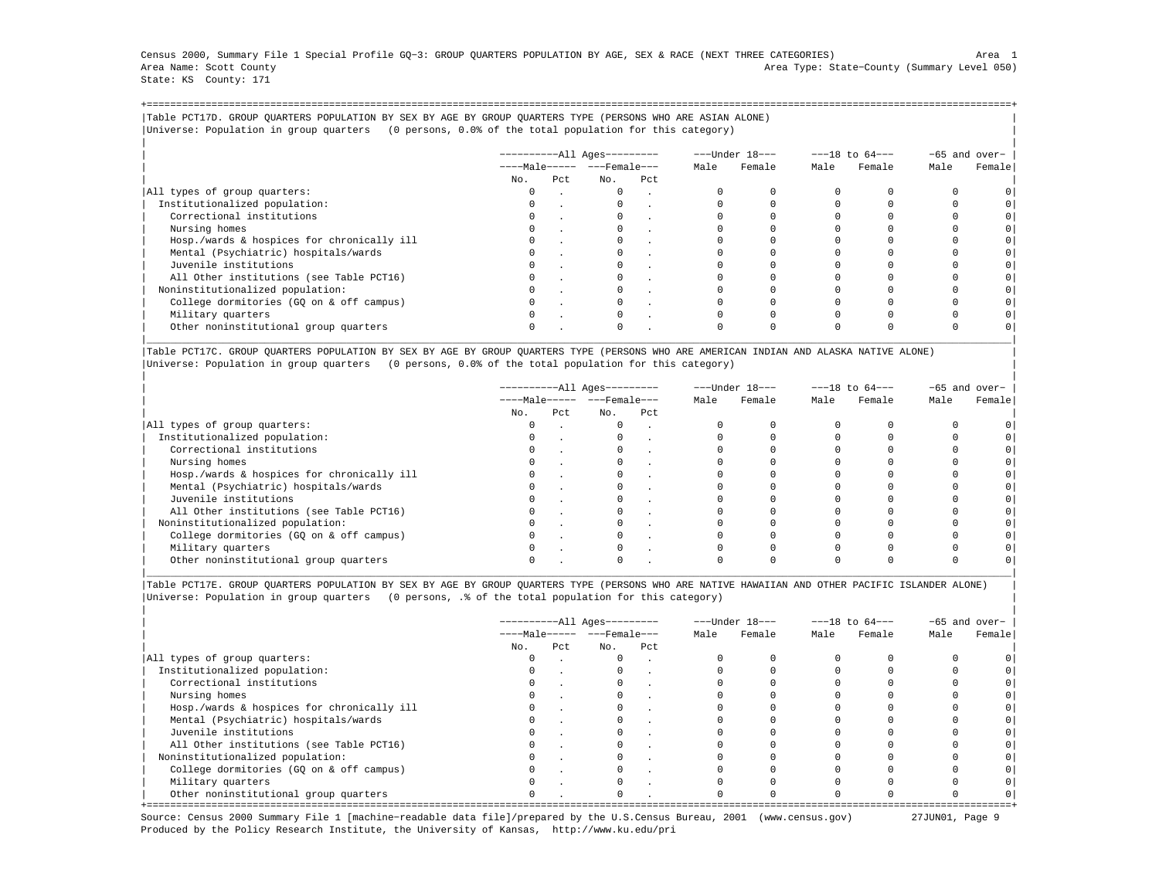Census 2000, Summary File 1 Special Profile GQ−3: GROUP QUARTERS POPULATION BY AGE, SEX & RACE (NEXT THREE CATEGORIES) Area 1 Area Name: Scott County Area Type: State−County (Summary Level 050) State: KS County: 171

+===================================================================================================================================================+|Table PCT17D. GROUP QUARTERS POPULATION BY SEX BY AGE BY GROUP QUARTERS TYPE (PERSONS WHO ARE ASIAN ALONE) | |Universe: Population in group quarters (0 persons, 0.0% of the total population for this category) |

|                                            |     |     | $------All Aqes------$  |     |      | ---Under 18--- | $---18$ to $64---$ |        | -65 and over- |         |
|--------------------------------------------|-----|-----|-------------------------|-----|------|----------------|--------------------|--------|---------------|---------|
|                                            |     |     | $---Male--- - - Female$ |     | Male | Female         | Male               | Female | Male          | Female  |
|                                            | No. | Pct | No.                     | Pct |      |                |                    |        |               |         |
| All types of group quarters:               |     |     | $\mathbf{0}$            |     |      |                |                    |        |               |         |
| Institutionalized population:              |     |     |                         |     |      |                |                    |        |               |         |
| Correctional institutions                  |     |     |                         |     |      |                |                    |        |               | $\circ$ |
| Nursing homes                              |     |     |                         |     |      |                |                    |        |               |         |
| Hosp./wards & hospices for chronically ill |     |     |                         |     |      |                |                    |        |               | $\circ$ |
| Mental (Psychiatric) hospitals/wards       |     |     |                         |     |      |                |                    |        |               | $\circ$ |
| Juvenile institutions                      |     |     |                         |     |      |                |                    |        |               | $\circ$ |
| All Other institutions (see Table PCT16)   |     |     |                         |     |      |                |                    |        |               |         |
| Noninstitutionalized population:           |     |     |                         |     |      |                |                    |        |               | $\circ$ |
| College dormitories (GO on & off campus)   |     |     |                         |     |      |                |                    |        |               | $\circ$ |
| Military quarters                          |     |     | $\Omega$                |     |      |                |                    |        |               |         |
| Other noninstitutional group quarters      |     |     |                         |     |      |                |                    |        |               |         |

|Table PCT17C. GROUP QUARTERS POPULATION BY SEX BY AGE BY GROUP QUARTERS TYPE (PERSONS WHO ARE AMERICAN INDIAN AND ALASKA NATIVE ALONE) | |Universe: Population in group quarters (0 persons, 0.0% of the total population for this category) |

|                                            |          |     | ----------All Ages--------- |                                | ---Under 18--- |                | $---18$ to $64---$ |        | $-65$ and over- |        |
|--------------------------------------------|----------|-----|-----------------------------|--------------------------------|----------------|----------------|--------------------|--------|-----------------|--------|
|                                            |          |     |                             | $---Male--- -  ---$ Female --- |                | Male<br>Female | Male               | Female | Male            | Female |
|                                            | No.      | Pct | No.                         | Pct                            |                |                |                    |        |                 |        |
| All types of group quarters:               | 0        |     | $\mathbf{0}$                | $\sim$                         |                |                |                    |        |                 |        |
| Institutionalized population:              | 0        |     |                             |                                |                |                |                    |        |                 |        |
| Correctional institutions                  | $\Omega$ |     |                             |                                |                |                |                    |        |                 |        |
| Nursing homes                              |          |     |                             |                                |                |                |                    |        |                 |        |
| Hosp./wards & hospices for chronically ill |          |     |                             |                                |                |                |                    |        |                 |        |
| Mental (Psychiatric) hospitals/wards       |          |     |                             |                                |                |                |                    |        |                 |        |
| Juvenile institutions                      | $\Omega$ |     |                             |                                |                |                |                    |        |                 |        |
| All Other institutions (see Table PCT16)   |          |     |                             |                                |                |                |                    |        |                 |        |
| Noninstitutionalized population:           |          |     |                             |                                |                |                |                    |        |                 |        |
| College dormitories (GQ on & off campus)   |          |     |                             |                                |                |                |                    |        |                 |        |
| Military quarters                          | $\Omega$ |     |                             |                                |                |                |                    |        |                 |        |
| Other noninstitutional group quarters      |          |     |                             |                                |                |                |                    |        |                 |        |

|Table PCT17E. GROUP QUARTERS POPULATION BY SEX BY AGE BY GROUP QUARTERS TYPE (PERSONS WHO ARE NATIVE HAWAIIAN AND OTHER PACIFIC ISLANDER ALONE) | |Universe: Population in group quarters (0 persons, .% of the total population for this category) |

|                                            |          |      | ----------All Ages---------  |     |      | ---Under 18--- |      | $---18$ to $64---$ | -65 and over- |        |
|--------------------------------------------|----------|------|------------------------------|-----|------|----------------|------|--------------------|---------------|--------|
|                                            |          |      | $---Male--- - - - Female---$ |     | Male | Female         | Male | Female             | Male          | Female |
|                                            | No.      | Pct. | No.                          | Pct |      |                |      |                    |               |        |
| All types of group quarters:               | 0        |      | $\Omega$                     |     |      |                |      |                    |               |        |
| Institutionalized population:              | $\Omega$ |      |                              |     |      |                |      |                    |               |        |
| Correctional institutions                  |          |      |                              |     |      |                |      |                    |               |        |
| Nursing homes                              |          |      |                              |     |      |                |      |                    |               |        |
| Hosp./wards & hospices for chronically ill | $\Omega$ |      |                              |     |      |                |      |                    |               |        |
| Mental (Psychiatric) hospitals/wards       | 0        |      |                              |     |      |                |      |                    |               |        |
| Juvenile institutions                      |          |      |                              |     |      |                |      |                    |               |        |
| All Other institutions (see Table PCT16)   |          |      |                              |     |      |                |      |                    |               |        |
| Noninstitutionalized population:           | $\Omega$ |      |                              |     |      |                |      |                    |               |        |
| College dormitories (GQ on & off campus)   |          |      |                              |     |      |                |      |                    |               |        |
| Military quarters                          |          |      |                              |     |      |                |      |                    |               |        |
| Other noninstitutional group quarters      | $\Omega$ |      | $\Omega$                     |     |      |                |      |                    |               |        |

Source: Census 2000 Summary File 1 [machine−readable data file]/prepared by the U.S.Census Bureau, 2001 (www.census.gov) 27JUN01, Page 9 Produced by the Policy Research Institute, the University of Kansas, http://www.ku.edu/pri